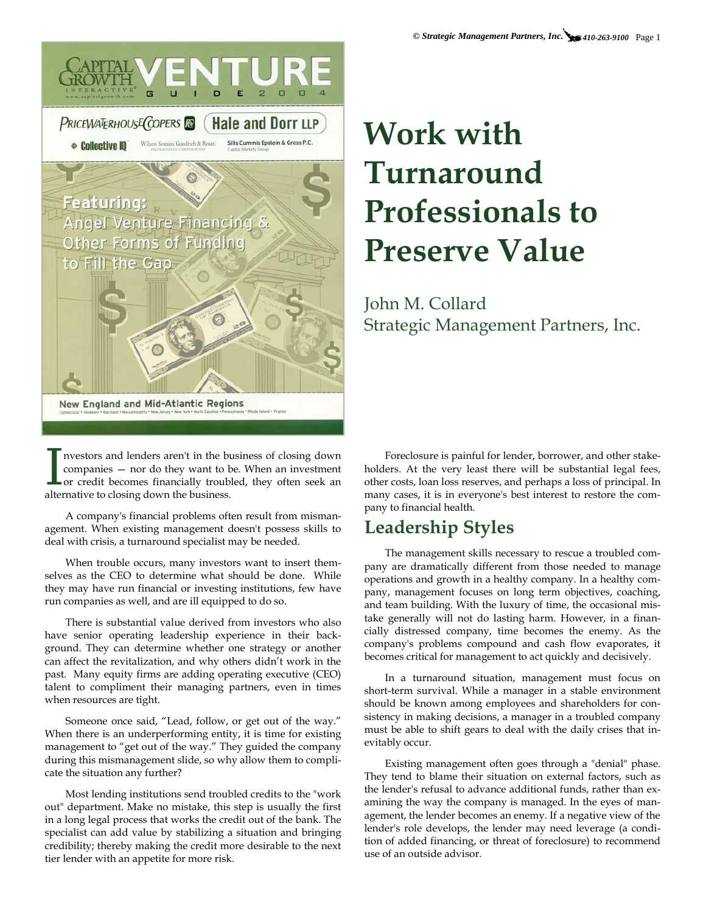

I<br/>mestors and lenders aren't in the business — nor do they want to bor credit becomes financially troubleated<br/>rative to closing down the business. nvestors and lenders aren't in the business of closing down companies — nor do they want to be. When an investment or credit becomes financially troubled, they often seek an

A company's financial problems often result from mismanagement. When existing management doesn't possess skills to deal with crisis, a turnaround specialist may be needed.

When trouble occurs, many investors want to insert themselves as the CEO to determine what should be done. While they may have run financial or investing institutions, few have run companies as well, and are ill equipped to do so.

There is substantial value derived from investors who also have senior operating leadership experience in their background. They can determine whether one strategy or another can affect the revitalization, and why others didn't work in the past. Many equity firms are adding operating executive (CEO) talent to compliment their managing partners, even in times when resources are tight.

Someone once said, "Lead, follow, or get out of the way." When there is an underperforming entity, it is time for existing management to "get out of the way." They guided the company during this mismanagement slide, so why allow them to complicate the situation any further?

Most lending institutions send troubled credits to the "work out" department. Make no mistake, this step is usually the first in a long legal process that works the credit out of the bank. The specialist can add value by stabilizing a situation and bringing credibility; thereby making the credit more desirable to the next tier lender with an appetite for more risk.

# **Work with Turnaround Professionals to Preserve Value**

John M. Collard Strategic Management Partners, Inc.

Foreclosure is painful for lender, borrower, and other stakeholders. At the very least there will be substantial legal fees, other costs, loan loss reserves, and perhaps a loss of principal. In many cases, it is in everyone's best interest to restore the company to financial health.

#### **Leadership Styles**

The management skills necessary to rescue a troubled company are dramatically different from those needed to manage operations and growth in a healthy company. In a healthy company, management focuses on long term objectives, coaching, and team building. With the luxury of time, the occasional mistake generally will not do lasting harm. However, in a financially distressed company, time becomes the enemy. As the company's problems compound and cash flow evaporates, it becomes critical for management to act quickly and decisively.

In a turnaround situation, management must focus on short-term survival. While a manager in a stable environment should be known among employees and shareholders for consistency in making decisions, a manager in a troubled company must be able to shift gears to deal with the daily crises that inevitably occur.

Existing management often goes through a "denial" phase. They tend to blame their situation on external factors, such as the lender's refusal to advance additional funds, rather than examining the way the company is managed. In the eyes of management, the lender becomes an enemy. If a negative view of the lender's role develops, the lender may need leverage (a condition of added financing, or threat of foreclosure) to recommend use of an outside advisor.